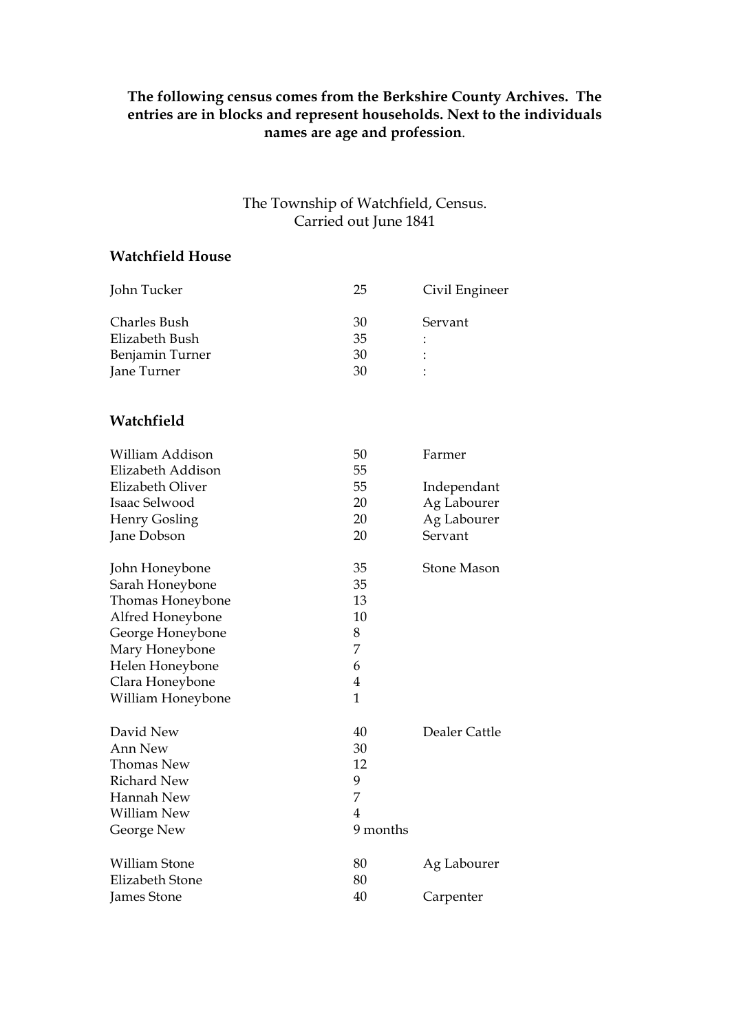## **The following census comes from the Berkshire County Archives. The entries are in blocks and represent households. Next to the individuals names are age and profession**.

## The Township of Watchfield, Census. Carried out June 1841

## **Watchfield House**

| John Tucker             | 25             | Civil Engineer     |
|-------------------------|----------------|--------------------|
| <b>Charles Bush</b>     | 30             | Servant            |
| Elizabeth Bush          | 35             |                    |
| Benjamin Turner         | 30             |                    |
| Jane Turner             | 30             |                    |
| Watchfield              |                |                    |
| William Addison         | 50             | Farmer             |
| Elizabeth Addison       | 55             |                    |
| <b>Elizabeth Oliver</b> | 55             | Independant        |
| Isaac Selwood           | 20             | Ag Labourer        |
| <b>Henry Gosling</b>    | 20             | Ag Labourer        |
| Jane Dobson             | 20             | Servant            |
| John Honeybone          | 35             | <b>Stone Mason</b> |
| Sarah Honeybone         | 35             |                    |
| Thomas Honeybone        | 13             |                    |
| Alfred Honeybone        | 10             |                    |
| George Honeybone        | 8              |                    |
| Mary Honeybone          | 7              |                    |
| Helen Honeybone         | 6              |                    |
| Clara Honeybone         | $\overline{4}$ |                    |
| William Honeybone       | $\mathbf{1}$   |                    |
| David New               | 40             | Dealer Cattle      |
| <b>Ann New</b>          | 30             |                    |
| Thomas New              | 12             |                    |
| <b>Richard New</b>      | 9              |                    |
| Hannah New              | 7              |                    |
| William New             | 4              |                    |
| George New              | 9 months       |                    |
| <b>William Stone</b>    | 80             | Ag Labourer        |
| <b>Elizabeth Stone</b>  | 80             |                    |
| <b>James Stone</b>      | 40             | Carpenter          |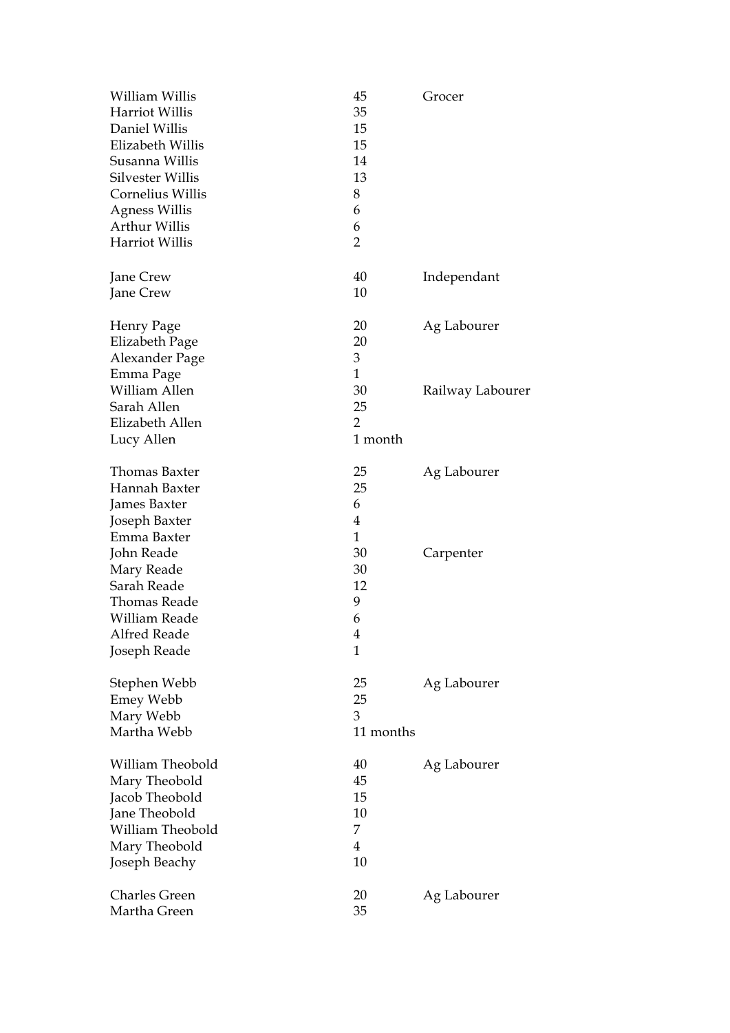| William Willis<br><b>Harriot Willis</b><br>Daniel Willis<br>Elizabeth Willis<br>Susanna Willis<br>Silvester Willis<br>Cornelius Willis<br><b>Agness Willis</b><br>Arthur Willis<br>Harriot Willis | 45<br>35<br>15<br>15<br>14<br>13<br>8<br>6<br>6<br>$\overline{2}$ | Grocer                          |
|---------------------------------------------------------------------------------------------------------------------------------------------------------------------------------------------------|-------------------------------------------------------------------|---------------------------------|
| Jane Crew<br>Jane Crew                                                                                                                                                                            | 40<br>10                                                          | Independant                     |
| Henry Page<br>Elizabeth Page<br>Alexander Page<br>Emma Page<br>William Allen                                                                                                                      | 20<br>20<br>3<br>$\mathbf{1}$<br>30                               | Ag Labourer<br>Railway Labourer |
| Sarah Allen<br>Elizabeth Allen<br>Lucy Allen                                                                                                                                                      | 25<br>2<br>1 month                                                |                                 |
| <b>Thomas Baxter</b><br>Hannah Baxter<br>James Baxter<br>Joseph Baxter<br>Emma Baxter                                                                                                             | 25<br>25<br>6<br>4<br>$\mathbf{1}$                                | Ag Labourer                     |
| John Reade<br>Mary Reade<br>Sarah Reade<br><b>Thomas Reade</b><br>William Reade<br>Alfred Reade<br>Joseph Reade                                                                                   | 30<br>30<br>12<br>9<br>6<br>4<br>$\mathbf{1}$                     | Carpenter                       |
| Stephen Webb<br><b>Emey Webb</b><br>Mary Webb<br>Martha Webb                                                                                                                                      | 25<br>25<br>3<br>11 months                                        | Ag Labourer                     |
| William Theobold<br>Mary Theobold<br>Jacob Theobold<br>Jane Theobold<br>William Theobold<br>Mary Theobold<br>Joseph Beachy                                                                        | 40<br>45<br>15<br>10<br>7<br>$\overline{4}$<br>10                 | Ag Labourer                     |
| <b>Charles Green</b><br>Martha Green                                                                                                                                                              | 20<br>35                                                          | Ag Labourer                     |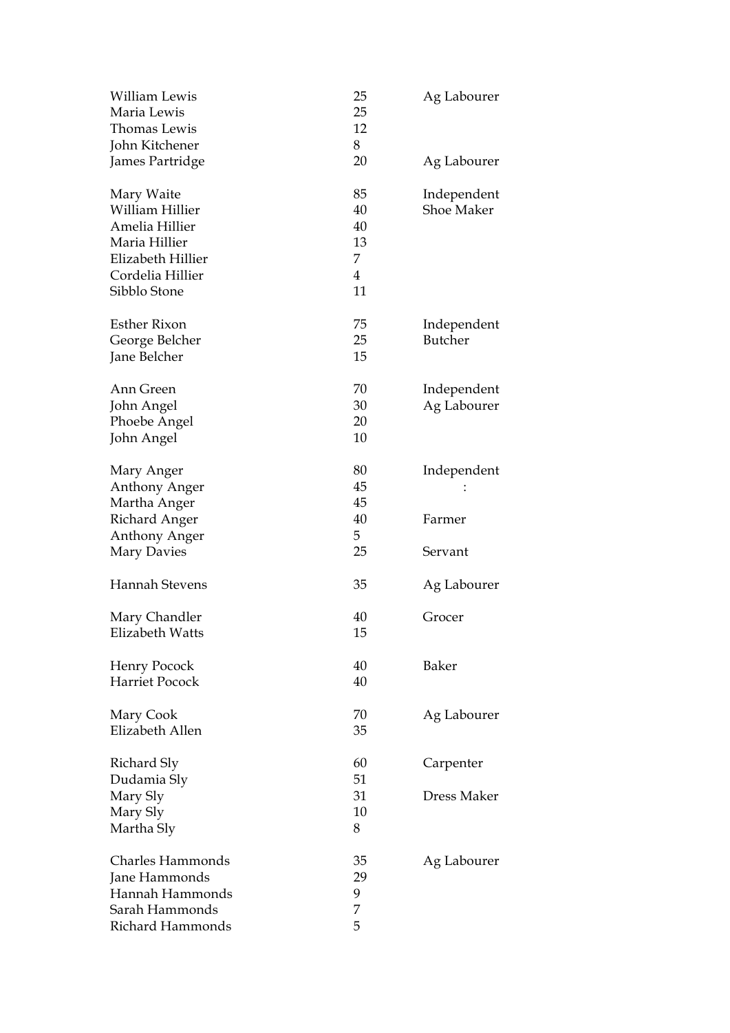| William Lewis<br>Maria Lewis<br>Thomas Lewis<br>John Kitchener                                                            | 25<br>25<br>12<br>8                               | Ag Labourer                |
|---------------------------------------------------------------------------------------------------------------------------|---------------------------------------------------|----------------------------|
| James Partridge                                                                                                           | 20                                                | Ag Labourer                |
| Mary Waite<br>William Hillier<br>Amelia Hillier<br>Maria Hillier<br>Elizabeth Hillier<br>Cordelia Hillier<br>Sibblo Stone | 85<br>40<br>40<br>13<br>7<br>$\overline{4}$<br>11 | Independent<br>Shoe Maker  |
| <b>Esther Rixon</b><br>George Belcher<br>Jane Belcher                                                                     | 75<br>25<br>15                                    | Independent<br>Butcher     |
| Ann Green<br>John Angel<br>Phoebe Angel<br>John Angel                                                                     | 70<br>30<br>20<br>10                              | Independent<br>Ag Labourer |
| Mary Anger<br>Anthony Anger<br>Martha Anger                                                                               | 80<br>45<br>45                                    | Independent                |
| <b>Richard Anger</b><br><b>Anthony Anger</b>                                                                              | 40<br>5                                           | Farmer                     |
| Mary Davies                                                                                                               | 25                                                | Servant                    |
| Hannah Stevens                                                                                                            | 35                                                | Ag Labourer                |
| Mary Chandler<br>Elizabeth Watts                                                                                          | 40<br>15                                          | Grocer                     |
| Henry Pocock<br><b>Harriet Pocock</b>                                                                                     | 40<br>40                                          | Baker                      |
| Mary Cook<br>Elizabeth Allen                                                                                              | 70<br>35                                          | Ag Labourer                |
| Richard Sly<br>Dudamia Sly                                                                                                | 60<br>51                                          | Carpenter                  |
| Mary Sly<br>Mary Sly<br>Martha Sly                                                                                        | 31<br>10<br>8                                     | Dress Maker                |
| <b>Charles Hammonds</b><br>Jane Hammonds<br>Hannah Hammonds<br>Sarah Hammonds<br>Richard Hammonds                         | 35<br>29<br>9<br>7<br>5                           | Ag Labourer                |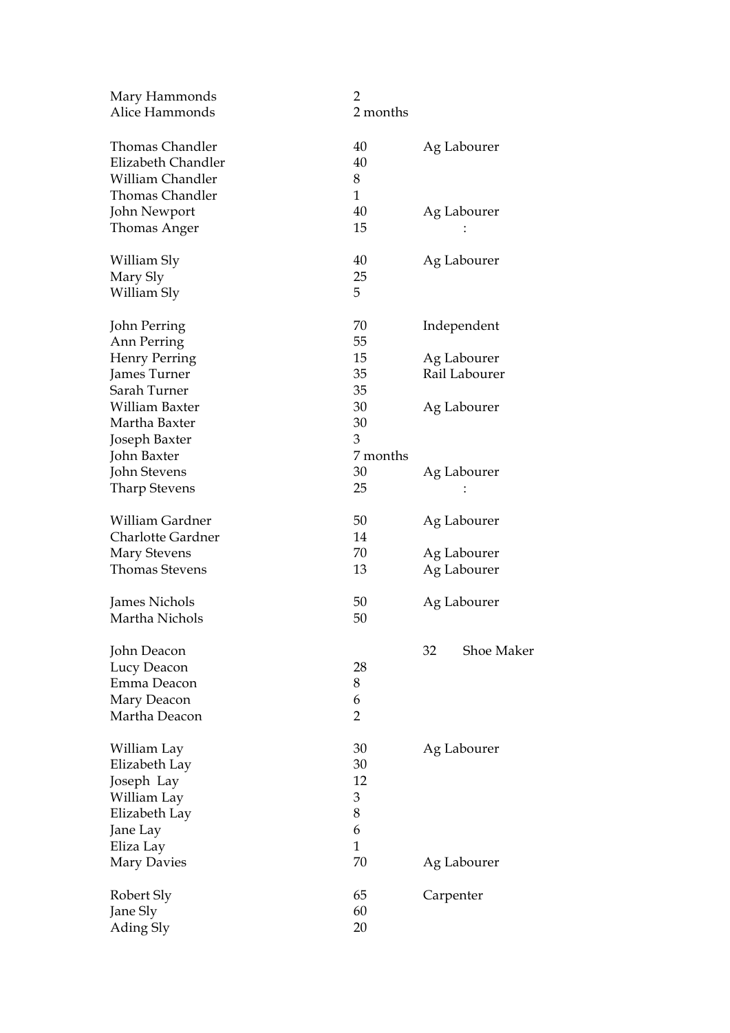| Mary Hammonds            | $\overline{2}$ |                         |
|--------------------------|----------------|-------------------------|
| Alice Hammonds           | 2 months       |                         |
| <b>Thomas Chandler</b>   | 40             | Ag Labourer             |
| Elizabeth Chandler       | 40             |                         |
| <b>William Chandler</b>  | 8              |                         |
| <b>Thomas Chandler</b>   | $\mathbf{1}$   |                         |
| John Newport             | 40             | Ag Labourer             |
| Thomas Anger             | 15             |                         |
| William Sly              | 40             | Ag Labourer             |
| Mary Sly                 | 25             |                         |
| William Sly              | 5              |                         |
| John Perring             | 70             | Independent             |
| Ann Perring              | 55             |                         |
| <b>Henry Perring</b>     | 15             | Ag Labourer             |
| James Turner             | 35             | Rail Labourer           |
| Sarah Turner             | 35             |                         |
| William Baxter           | 30             | Ag Labourer             |
| Martha Baxter            | 30             |                         |
| Joseph Baxter            | 3              |                         |
| John Baxter              | 7 months       |                         |
| John Stevens             | 30             | Ag Labourer             |
| <b>Tharp Stevens</b>     | 25             |                         |
| William Gardner          | 50             | Ag Labourer             |
| <b>Charlotte Gardner</b> | 14             |                         |
| <b>Mary Stevens</b>      | 70             | Ag Labourer             |
| <b>Thomas Stevens</b>    | 13             | Ag Labourer             |
| James Nichols            | 50             | Ag Labourer             |
| Martha Nichols           | 50             |                         |
| John Deacon              |                | 32<br><b>Shoe Maker</b> |
| Lucy Deacon              | 28             |                         |
| Emma Deacon              | 8              |                         |
| Mary Deacon              | 6              |                         |
| Martha Deacon            | $\overline{2}$ |                         |
| William Lay              | 30             | Ag Labourer             |
| Elizabeth Lay            | 30             |                         |
| Joseph Lay               | 12             |                         |
| William Lay              | 3              |                         |
| Elizabeth Lay            | 8              |                         |
| Jane Lay                 | 6              |                         |
| Eliza Lay                | $\mathbf{1}$   |                         |
| Mary Davies              | 70             | Ag Labourer             |
| Robert Sly               | 65             | Carpenter               |
| Jane Sly                 | 60             |                         |
| Ading Sly                | 20             |                         |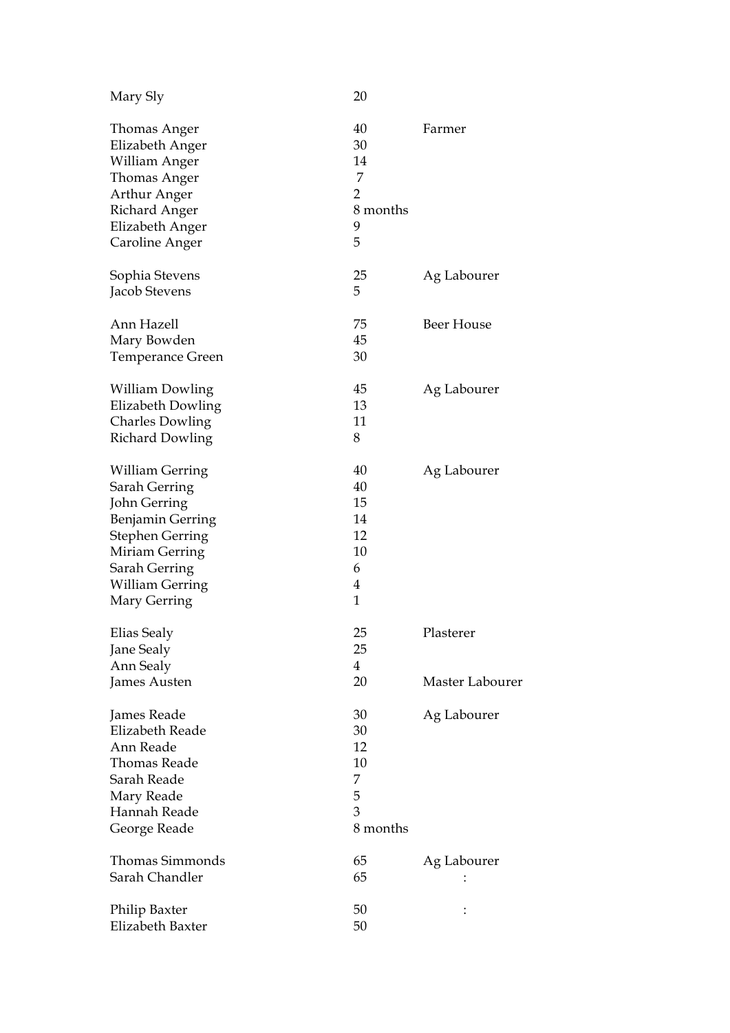| Mary Sly               | 20             |                   |
|------------------------|----------------|-------------------|
| Thomas Anger           | 40             | Farmer            |
| Elizabeth Anger        | 30             |                   |
| William Anger          | 14             |                   |
| <b>Thomas Anger</b>    | 7              |                   |
| Arthur Anger           | $\overline{2}$ |                   |
| Richard Anger          | 8 months       |                   |
| Elizabeth Anger        | 9              |                   |
| Caroline Anger         | 5              |                   |
| Sophia Stevens         | 25             | Ag Labourer       |
| Jacob Stevens          | 5              |                   |
| Ann Hazell             | 75             | <b>Beer House</b> |
| Mary Bowden            | 45             |                   |
| Temperance Green       | 30             |                   |
| William Dowling        | 45             | Ag Labourer       |
| Elizabeth Dowling      | 13             |                   |
| <b>Charles Dowling</b> | 11             |                   |
| <b>Richard Dowling</b> | 8              |                   |
| William Gerring        | 40             | Ag Labourer       |
| Sarah Gerring          | 40             |                   |
| John Gerring           | 15             |                   |
| Benjamin Gerring       | 14             |                   |
| <b>Stephen Gerring</b> | 12             |                   |
| Miriam Gerring         | 10             |                   |
| Sarah Gerring          | 6              |                   |
| William Gerring        | $\overline{4}$ |                   |
| Mary Gerring           | $\mathbf{1}$   |                   |
| Elias Sealy            | 25             | Plasterer         |
| Jane Sealy             | 25             |                   |
| Ann Sealy              | $\overline{4}$ |                   |
| James Austen           | 20             | Master Labourer   |
| James Reade            | 30             | Ag Labourer       |
| <b>Elizabeth Reade</b> | 30             |                   |
| Ann Reade              | 12             |                   |
| Thomas Reade           | 10             |                   |
| Sarah Reade            | 7              |                   |
| Mary Reade             | 5              |                   |
| Hannah Reade           | 3              |                   |
| George Reade           | 8 months       |                   |
| <b>Thomas Simmonds</b> | 65             | Ag Labourer       |
| Sarah Chandler         | 65             |                   |
| Philip Baxter          | 50             |                   |
| Elizabeth Baxter       | 50             |                   |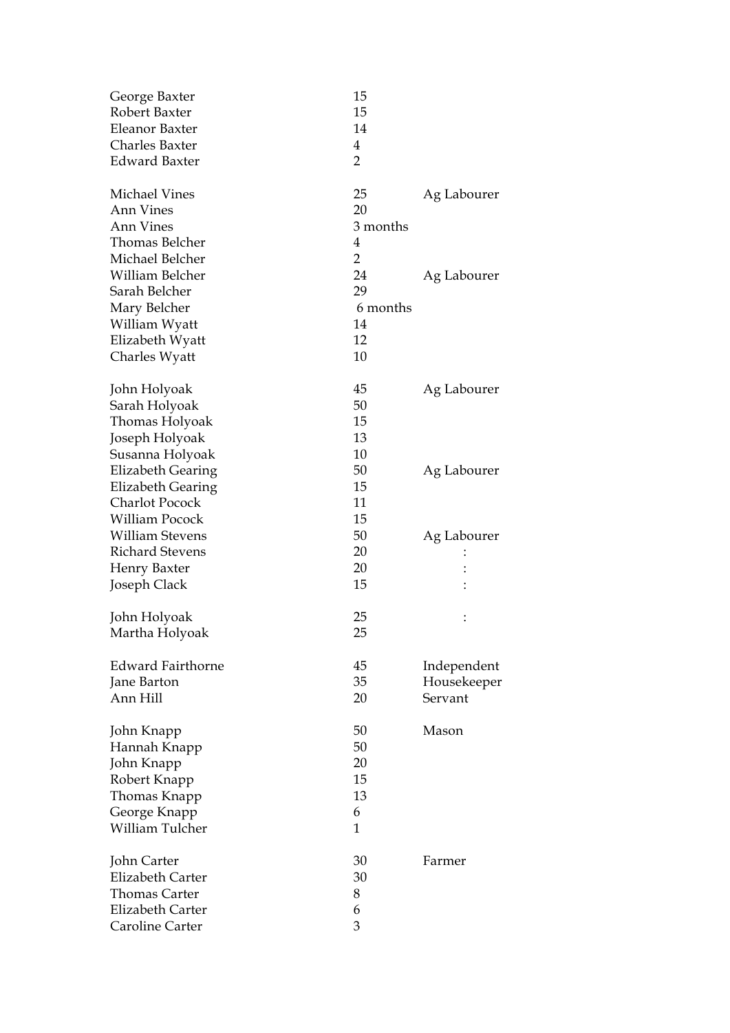| George Baxter<br>Robert Baxter<br><b>Eleanor Baxter</b> | 15<br>15<br>14 |             |
|---------------------------------------------------------|----------------|-------------|
| <b>Charles Baxter</b>                                   | 4              |             |
| <b>Edward Baxter</b>                                    | $\overline{2}$ |             |
|                                                         |                |             |
| <b>Michael Vines</b>                                    | 25             | Ag Labourer |
| <b>Ann Vines</b>                                        | 20             |             |
| Ann Vines                                               | 3 months       |             |
| Thomas Belcher                                          | 4              |             |
| Michael Belcher                                         | $\overline{2}$ |             |
| William Belcher                                         | 24             | Ag Labourer |
| Sarah Belcher                                           | 29             |             |
| Mary Belcher                                            | 6 months       |             |
| William Wyatt                                           | 14             |             |
| Elizabeth Wyatt                                         | 12             |             |
| Charles Wyatt                                           | 10             |             |
| John Holyoak                                            | 45             | Ag Labourer |
| Sarah Holyoak                                           | 50             |             |
| Thomas Holyoak                                          | 15             |             |
| Joseph Holyoak                                          | 13             |             |
| Susanna Holyoak                                         | 10             |             |
| <b>Elizabeth Gearing</b>                                | 50             | Ag Labourer |
| <b>Elizabeth Gearing</b>                                | 15             |             |
| <b>Charlot Pocock</b>                                   | 11             |             |
| William Pocock                                          | 15             |             |
| <b>William Stevens</b>                                  | 50             |             |
| <b>Richard Stevens</b>                                  | 20             | Ag Labourer |
| Henry Baxter                                            | 20             |             |
| Joseph Clack                                            | 15             |             |
|                                                         |                |             |
| John Holyoak                                            | 25             |             |
| Martha Holyoak                                          | 25             |             |
|                                                         |                |             |
| <b>Edward Fairthorne</b>                                | 45             | Independent |
| Jane Barton                                             | 35             | Housekeeper |
| Ann Hill                                                | 20             | Servant     |
| John Knapp                                              | 50             | Mason       |
| Hannah Knapp                                            | 50             |             |
| John Knapp                                              | 20             |             |
| Robert Knapp                                            | 15             |             |
| Thomas Knapp                                            | 13             |             |
| George Knapp                                            | 6              |             |
| William Tulcher                                         | $\mathbf{1}$   |             |
|                                                         |                |             |
| John Carter                                             | 30             | Farmer      |
| Elizabeth Carter                                        | 30             |             |
| <b>Thomas Carter</b>                                    | 8              |             |
| <b>Elizabeth Carter</b>                                 | 6              |             |
| Caroline Carter                                         | 3              |             |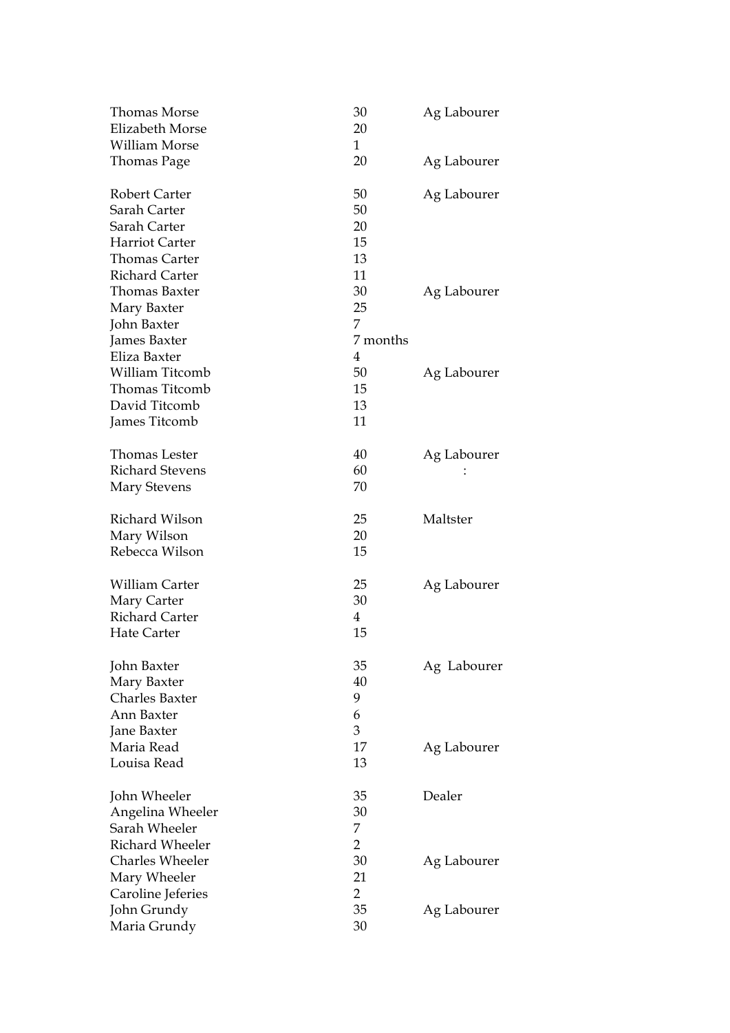| Thomas Morse           | 30             | Ag Labourer |
|------------------------|----------------|-------------|
| Elizabeth Morse        | 20             |             |
| <b>William Morse</b>   | $\mathbf 1$    |             |
| Thomas Page            | 20             | Ag Labourer |
| <b>Robert Carter</b>   | 50             | Ag Labourer |
| Sarah Carter           | 50             |             |
| Sarah Carter           | 20             |             |
| Harriot Carter         | 15             |             |
| Thomas Carter          | 13             |             |
| <b>Richard Carter</b>  | 11             |             |
| Thomas Baxter          | 30             | Ag Labourer |
| Mary Baxter            | 25             |             |
| John Baxter            | 7              |             |
| James Baxter           | 7 months       |             |
| Eliza Baxter           | 4              |             |
| <b>William Titcomb</b> | 50             | Ag Labourer |
| <b>Thomas Titcomb</b>  | 15             |             |
| David Titcomb          | 13             |             |
| James Titcomb          | 11             |             |
| Thomas Lester          | 40             | Ag Labourer |
| <b>Richard Stevens</b> | 60             |             |
| <b>Mary Stevens</b>    | 70             |             |
| Richard Wilson         | 25             | Maltster    |
| Mary Wilson            | 20             |             |
| Rebecca Wilson         | 15             |             |
| William Carter         | 25             | Ag Labourer |
| Mary Carter            | 30             |             |
| <b>Richard Carter</b>  | 4              |             |
| <b>Hate Carter</b>     | 15             |             |
| John Baxter            | 35             | Ag Labourer |
| Mary Baxter            | 40             |             |
| Charles Baxter         | 9              |             |
| Ann Baxter             | 6              |             |
| Jane Baxter            | 3              |             |
| Maria Read             | 17             | Ag Labourer |
| Louisa Read            | 13             |             |
| John Wheeler           | 35             | Dealer      |
| Angelina Wheeler       | 30             |             |
| Sarah Wheeler          | 7              |             |
| Richard Wheeler        | $\overline{2}$ |             |
| Charles Wheeler        | 30             | Ag Labourer |
| Mary Wheeler           | 21             |             |
| Caroline Jeferies      | $\overline{2}$ |             |
| John Grundy            | 35             | Ag Labourer |
| Maria Grundy           | 30             |             |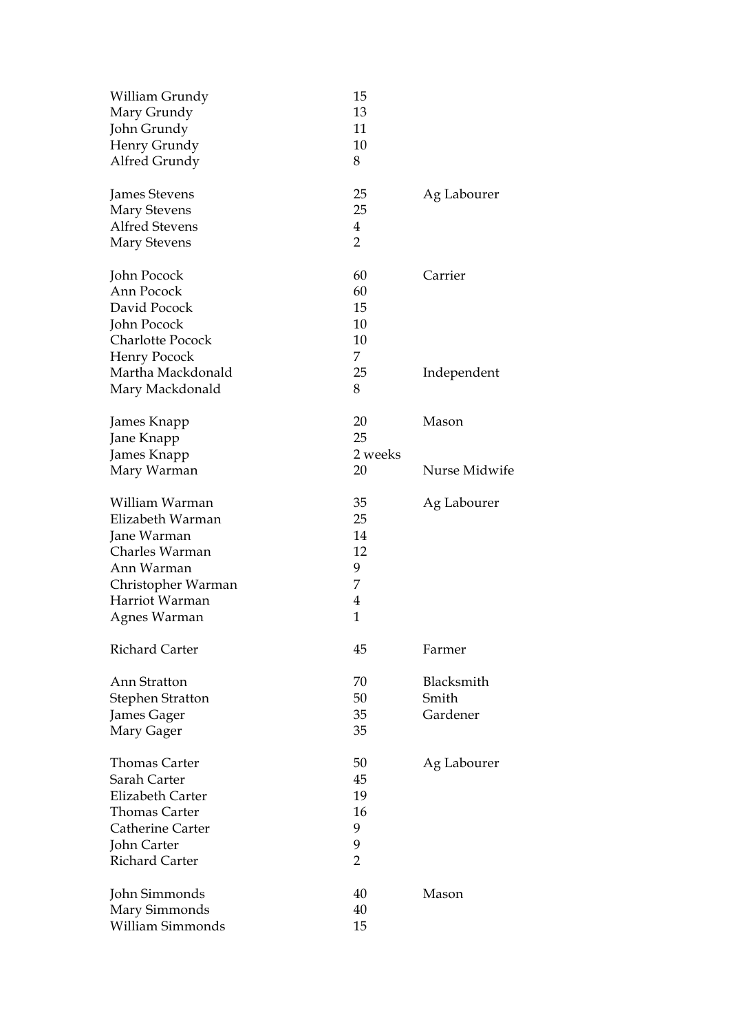| William Grundy<br>Mary Grundy<br>John Grundy<br>Henry Grundy<br>Alfred Grundy                                                                | 15<br>13<br>11<br>10<br>8                           |                                 |
|----------------------------------------------------------------------------------------------------------------------------------------------|-----------------------------------------------------|---------------------------------|
| James Stevens<br><b>Mary Stevens</b><br><b>Alfred Stevens</b>                                                                                | 25<br>25<br>4                                       | Ag Labourer                     |
| <b>Mary Stevens</b>                                                                                                                          | $\overline{2}$                                      |                                 |
| John Pocock<br>Ann Pocock<br>David Pocock<br>John Pocock<br>Charlotte Pocock<br>Henry Pocock                                                 | 60<br>60<br>15<br>10<br>10<br>7.                    | Carrier                         |
| Martha Mackdonald<br>Mary Mackdonald                                                                                                         | 25<br>8                                             | Independent                     |
| James Knapp<br>Jane Knapp<br>James Knapp                                                                                                     | 20<br>25<br>2 weeks                                 | Mason                           |
| Mary Warman                                                                                                                                  | 20                                                  | Nurse Midwife                   |
| William Warman<br>Elizabeth Warman<br>Jane Warman<br>Charles Warman<br>Ann Warman<br>Christopher Warman<br>Harriot Warman<br>Agnes Warman    | 35<br>25<br>14<br>12<br>9<br>7<br>4<br>$\mathbf{1}$ | Ag Labourer                     |
| <b>Richard Carter</b>                                                                                                                        | 45                                                  | Farmer                          |
| Ann Stratton<br><b>Stephen Stratton</b><br>James Gager<br>Mary Gager                                                                         | 70<br>50<br>35<br>35                                | Blacksmith<br>Smith<br>Gardener |
| <b>Thomas Carter</b><br>Sarah Carter<br>Elizabeth Carter<br><b>Thomas Carter</b><br>Catherine Carter<br>John Carter<br><b>Richard Carter</b> | 50<br>45<br>19<br>16<br>9<br>9<br>$\overline{2}$    | Ag Labourer                     |
| John Simmonds<br>Mary Simmonds<br><b>William Simmonds</b>                                                                                    | 40<br>40<br>15                                      | Mason                           |